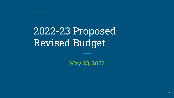2022-23 Proposed Revised Budget

May 23, 2022

1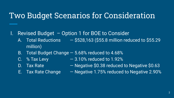### Two Budget Scenarios for Consideration

- I. Revised Budget Option 1 for BOE to Consider
	- A. Total Reductions  $-$  \$528,163 (\$55.8 million reduced to \$55.29 million)
	- B. Total Budget Change 5.68% reduced to 4.68%
	-
	- C.  $\%$  Tax Levy  $-3.10\%$  reduced to 1.92%
	-
	- D. Tax Rate  $-$  Negative \$0.38 reduced to Negative \$0.63
	-
	- E. Tax Rate Change  $-$  Negative 1.75% reduced to Negative 2.90%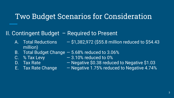#### Two Budget Scenarios for Consideration

#### II. Contingent Budget – Required to Present

- A. Total Reductions  $-$  \$1,382,972 (\$55.8 million reduced to \$54.43 million)
- B. Total Budget Change 5.68% reduced to 3.06%
- 
- 
- 
- C. % Tax Levy  $-3.10\%$  reduced to 0%
- D. Tax Rate  $-$  Negative \$0.38 reduced to Negative \$1.03
- E. Tax Rate Change  $-$  Negative 1.75% reduced to Negative 4.74%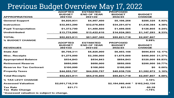#### Previous Budget Overview May 17, 2022

|                                           | <b>ADOPTED</b>  | <b>ESTIMATED</b>   | <b>PROPOSED</b>    |                      |          |  |  |  |
|-------------------------------------------|-----------------|--------------------|--------------------|----------------------|----------|--|--|--|
|                                           | <b>BUDGET</b>   | <b>END OF YEAR</b> | <b>BUDGET</b>      | <b>BUDGET</b>        |          |  |  |  |
| <b>APPROPRIATIONS</b>                     | 2021/22         | 2021/22            | 2022/23            | <b>CHANGE</b>        |          |  |  |  |
| <b>General Support</b>                    | \$4,820,931     | \$4,957,400        | \$5,106,256        | \$285,325            | 5.92%    |  |  |  |
| <b>Instruction</b>                        | \$32,853,290    | \$32,076,850       | \$34,291,674       | \$1,438,384          | 4.38%    |  |  |  |
| <b>Pupil Transportation</b>               | \$1,372,700     | \$1,450,500        | \$1,499,505        | \$126,805            | 9.24%    |  |  |  |
| <b>Undistributed</b>                      | \$13,776,990    | \$13,422,610       | \$14,924,283       | \$1,147,293          | 8.33%    |  |  |  |
| <b>TOTAL</b>                              | \$52,823,911    | \$51.907.360       | \$55,821,718       | \$2,997,807          |          |  |  |  |
| <b>% BUDGET CHANGE</b>                    |                 |                    |                    | 5.68%                |          |  |  |  |
|                                           | <b>ADOPTED</b>  | <b>ESTIMATED</b>   | <b>PROPOSED</b>    |                      |          |  |  |  |
|                                           | <b>BUDGET</b>   | <b>END OF YEAR</b> | <b>BUDGET</b>      | <b>BUDGET</b>        |          |  |  |  |
| <b>REVENUES</b>                           | 2021/22         | 2021/22            | 2022/23            | <b>CHANGE</b>        |          |  |  |  |
| <b>State Aid</b>                          | \$5,708,311     | \$5,825,000        | \$6,403,146        | \$694.835 12.17%     |          |  |  |  |
| <b>Misc. Receipts</b>                     | \$1,275,000     | \$2,350,000        | \$1,675,000        | \$400,000 31.37%     |          |  |  |  |
| <b>Appropriated Balance</b>               | \$534,843       | \$534,843          | \$854,843          | \$320,000 59.83%     |          |  |  |  |
| <b>Retirement Reserve</b>                 | \$650,000       | \$650,000          | \$850,000          | \$200,000 30.77%     |          |  |  |  |
| <b>Reserve for Tax Certiorari</b>         | \$100,000       | \$100,000          | \$100,000          | \$0                  | $0.00\%$ |  |  |  |
| <b>Property Taxes</b>                     | \$44,555,757    | \$44,555,757       | \$45,938,729       | \$1,382,972          | 3.10%    |  |  |  |
| <b>Total Receipts</b>                     | \$52,823,911    | \$54,015,600       | \$55,821,718       | \$2,997,807          | 5.68%    |  |  |  |
| <b>% TAX LEVY CHANGE</b>                  |                 |                    |                    | 3.10%                |          |  |  |  |
| <b>Assessed Valuation</b>                 | \$2,051,718,310 |                    | $$2,154,060,446$ * | \$102,342,136        |          |  |  |  |
| <b>Tax Rate</b><br><b>Tax Rate Change</b> | \$21.71         |                    | \$21.33            | $-$0.38$<br>$-1.75%$ |          |  |  |  |
| *Assessed valuation is subject to change. |                 |                    |                    |                      |          |  |  |  |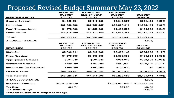#### Proposed Revised Budget Summary May 23, 2022

| <b>ADOPTED</b>  | <b>ESTIMATED</b>   | <b>PROPOSED</b> |                      |                                                                                                    |
|-----------------|--------------------|-----------------|----------------------|----------------------------------------------------------------------------------------------------|
| <b>BUDGET</b>   | <b>END OF YEAR</b> | <b>BUDGET</b>   | <b>BUDGET</b>        |                                                                                                    |
| 2021/22         | 2021/22            | 2022/23         | <b>CHANGE</b>        |                                                                                                    |
| \$4,820,931     | \$5,017,900        | \$5,042,356     | \$221,425            | 4.59%                                                                                              |
| \$32,853,290    | \$32,056,457       | \$33,857,411    | \$1,004,121          | 3.06%                                                                                              |
| \$1,372,700     | \$1,450,500        | \$1,499,505     | \$126,805            | 9.24%                                                                                              |
| \$13,776,990    | \$13,372,610       | \$14,894,283    | \$1,117,293          | 8.11%                                                                                              |
| \$52,823,911    | \$51,897,467       | \$55,293,555    | \$2,469,644          |                                                                                                    |
|                 |                    |                 | 4.68%                |                                                                                                    |
| <b>ADOPTED</b>  | <b>ESTIMATED</b>   | <b>PROPOSED</b> |                      |                                                                                                    |
| <b>BUDGET</b>   | <b>END OF YEAR</b> | <b>BUDGET</b>   | <b>BUDGET</b>        |                                                                                                    |
| 2021/22         | 2021/22            | 2022/23         | <b>CHANGE</b>        |                                                                                                    |
| \$5,708,311     | \$5,825,000        | \$6,403,146     |                      |                                                                                                    |
| \$1,275,000     | \$2,350,000        | \$1,675,000     |                      |                                                                                                    |
| \$534,843       | \$534.843          | \$854,843       |                      |                                                                                                    |
| \$650,000       | \$650,000          | \$850,000       |                      |                                                                                                    |
| \$100,000       | \$100,000          | \$100,000       | \$0                  | $0.00\%$                                                                                           |
| \$44,555,757    | \$44,555,757       | \$45,410,566    | \$854,809            | 1.92%                                                                                              |
| \$52,823,911    | \$54,015,600       | \$55,293,555    | \$2,469,644          | 4.68%                                                                                              |
|                 |                    |                 | 1.92%                |                                                                                                    |
| \$2,051,718,310 |                    |                 | \$102,342,136        |                                                                                                    |
| \$21.71         |                    | \$21.08         | $-$0.63$<br>$-2.90%$ |                                                                                                    |
|                 |                    |                 |                      | \$694,835 12.17%<br>\$400,000 31.37%<br>\$320,000 59.83%<br>\$200,000 30.77%<br>$$2,154,060,446$ * |

\*Assessed valuation is subject to change.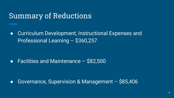#### Summary of Reductions

● Curriculum Development, Instructional Expenses and Professional Learning – \$360,257

● Facilities and Maintenance – \$82,500

● Governance, Supervision & Management – \$85,406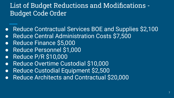#### List of Budget Reductions and Modifications - Budget Code Order

- Reduce Contractual Services BOE and Supplies \$2,100
- Reduce Central Administration Costs \$7,500
- Reduce Finance \$5,000
- Reduce Personnel \$1,000
- Reduce P/R \$10,000
- Reduce Overtime Custodial \$10,000
- Reduce Custodial Equipment \$2,500
- Reduce Architects and Contractual \$20,000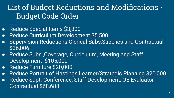# List of Budget Reductions and Modifications - Budget Code Order

- Reduce Special Items \$3,800
- Reduce Curriculum Development \$5,500
- **Supervision Reductions Clerical Subs, Supplies and Contractual** \$36,006
- Reduce Subs, Coverage, Curriculum, Meeting and Staff Development \$105,000
- Reduce Furniture \$20,000
- Reduce Portrait of Hastings Learner/Strategic Planning \$20,000
- Reduce Supt. Conference, Staff Development, OE Evaluator, Contractual \$68,688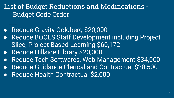#### List of Budget Reductions and Modifications - Budget Code Order

- Reduce Gravity Goldberg \$20,000
- **Reduce BOCES Staff Development including Project** Slice, Project Based Learning \$60,172
- Reduce Hillside Library \$20,000
- Reduce Tech Softwares, Web Management \$34,000
- Reduce Guidance Clerical and Contractual \$28,500
- Reduce Health Contractual \$2,000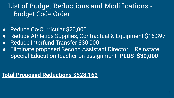### List of Budget Reductions and Modifications - Budget Code Order

- Reduce Co-Curricular \$20,000
- Reduce Athletics Supplies, Contractual & Equipment \$16,397
- Reduce Interfund Transfer \$30,000
- Eliminate proposed Second Assistant Director Reinstate Special Education teacher on assignment- **PLUS \$30,000**

#### **Total Proposed Reductions \$528,163**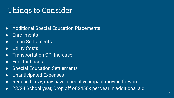## Things to Consider

- Additional Special Education Placements
- Enrollments
- Union Settlements
- **•** Utility Costs
- Transportation CPI Increase
- Fuel for buses
- Special Education Settlements
- Unanticipated Expenses
- Reduced Levy, may have a negative impact moving forward
- 23/24 School year, Drop off of \$450k per year in additional aid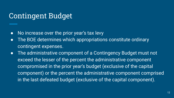### Contingent Budget

- No increase over the prior year's tax levy
- The BOE determines which appropriations constitute ordinary contingent expenses.
- The administrative component of a Contingency Budget must not exceed the lesser of the percent the administrative component compromised in the prior year's budget (exclusive of the capital component) or the percent the administrative component comprised in the last defeated budget (exclusive of the capital component).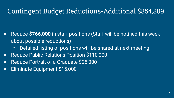#### Contingent Budget Reductions-Additional \$854,809

- Reduce **\$766,000** in staff positions (Staff will be notified this week about possible reductions)
	- Detailed listing of positions will be shared at next meeting
- Reduce Public Relations Position \$110,000
- Reduce Portrait of a Graduate \$25,000
- Eliminate Equipment \$15,000